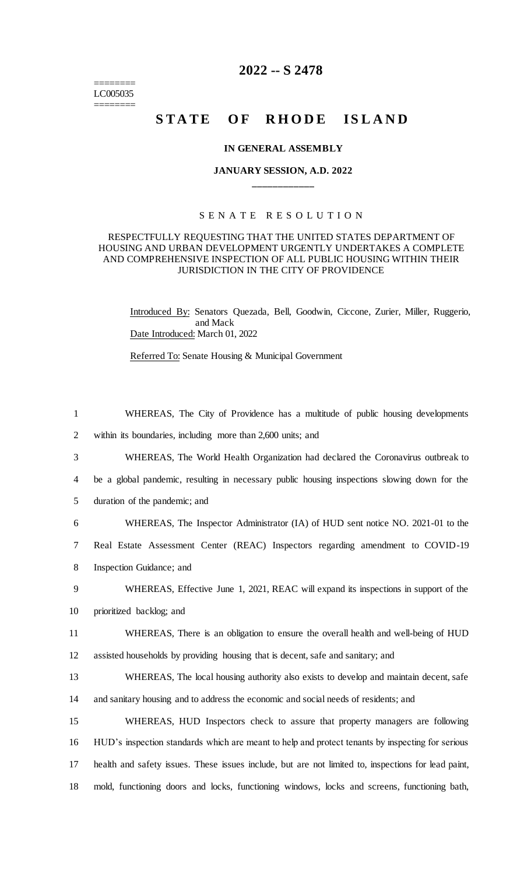======== LC005035 ========

## **2022 -- S 2478**

# **STATE OF RHODE ISLAND**

#### **IN GENERAL ASSEMBLY**

### **JANUARY SESSION, A.D. 2022 \_\_\_\_\_\_\_\_\_\_\_\_**

#### S E N A T E R E S O L U T I O N

#### RESPECTFULLY REQUESTING THAT THE UNITED STATES DEPARTMENT OF HOUSING AND URBAN DEVELOPMENT URGENTLY UNDERTAKES A COMPLETE AND COMPREHENSIVE INSPECTION OF ALL PUBLIC HOUSING WITHIN THEIR JURISDICTION IN THE CITY OF PROVIDENCE

Introduced By: Senators Quezada, Bell, Goodwin, Ciccone, Zurier, Miller, Ruggerio, and Mack Date Introduced: March 01, 2022

Referred To: Senate Housing & Municipal Government

 WHEREAS, The City of Providence has a multitude of public housing developments within its boundaries, including more than 2,600 units; and WHEREAS, The World Health Organization had declared the Coronavirus outbreak to be a global pandemic, resulting in necessary public housing inspections slowing down for the duration of the pandemic; and WHEREAS, The Inspector Administrator (IA) of HUD sent notice NO. 2021-01 to the Real Estate Assessment Center (REAC) Inspectors regarding amendment to COVID-19 Inspection Guidance; and WHEREAS, Effective June 1, 2021, REAC will expand its inspections in support of the prioritized backlog; and WHEREAS, There is an obligation to ensure the overall health and well-being of HUD assisted households by providing housing that is decent, safe and sanitary; and WHEREAS, The local housing authority also exists to develop and maintain decent, safe and sanitary housing and to address the economic and social needs of residents; and WHEREAS, HUD Inspectors check to assure that property managers are following HUD's inspection standards which are meant to help and protect tenants by inspecting for serious health and safety issues. These issues include, but are not limited to, inspections for lead paint, mold, functioning doors and locks, functioning windows, locks and screens, functioning bath,